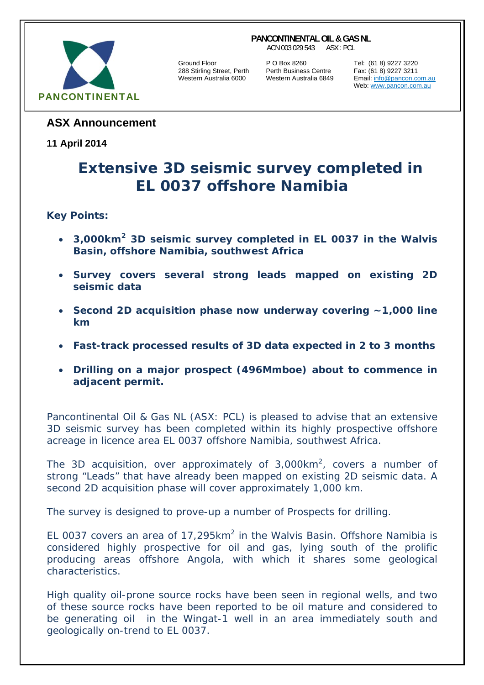#### **PANCONTINENTAL OIL & GAS NL**

ACN 003 029 543 ASX : PCL



Ground Floor **P O Box 8260** Tel: (61 8) 9227 3220<br>288 Stirling Street, Perth Perth Business Centre Fax: (61 8) 9227 3211 288 Stirling Street, Perth Perth Business Centre Fax: (61 8) 9227 3211

Email: info@pancon.com.au Web: www.pancon.com.au

# **ASX Announcement**

# **11 April 2014**

# **Extensive 3D seismic survey completed in EL 0037 offshore Namibia**

# **Key Points:**

- *3,000km2 3D seismic survey completed in EL 0037 in the Walvis Basin, offshore Namibia, southwest Africa*
- *Survey covers several strong leads mapped on existing 2D seismic data*
- *Second 2D acquisition phase now underway covering ~1,000 line km*
- *Fast-track processed results of 3D data expected in 2 to 3 months*
- *Drilling on a major prospect (496Mmboe) about to commence in adjacent permit.*

Pancontinental Oil & Gas NL (ASX: PCL) is pleased to advise that an extensive 3D seismic survey has been completed within its highly prospective offshore acreage in licence area EL 0037 offshore Namibia, southwest Africa.

The 3D acquisition, over approximately of 3,000km<sup>2</sup>, covers a number of strong "Leads" that have already been mapped on existing 2D seismic data. A second 2D acquisition phase will cover approximately 1,000 km.

The survey is designed to prove-up a number of Prospects for drilling.

EL 0037 covers an area of  $17,295km^2$  in the Walvis Basin. Offshore Namibia is considered highly prospective for oil and gas, lying south of the prolific producing areas offshore Angola, with which it shares some geological characteristics.

High quality oil-prone source rocks have been seen in regional wells, and two of these source rocks have been reported to be oil mature and considered to be generating oil in the Wingat-1 well in an area immediately south and geologically on-trend to EL 0037.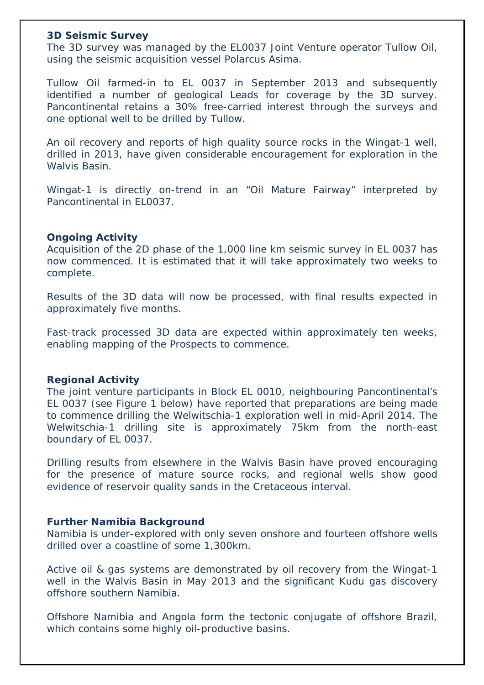#### **3D Seismic Survey**

The 3D survey was managed by the EL0037 Joint Venture operator Tullow Oil, using the seismic acquisition vessel Polarcus Asima.

Tullow Oil farmed-in to EL 0037 in September 2013 and subsequently identified a number of geological Leads for coverage by the 3D survey. Pancontinental retains a 30% free-carried interest through the surveys and one optional well to be drilled by Tullow.

An oil recovery and reports of high quality source rocks in the Wingat-1 well, drilled in 2013, have given considerable encouragement for exploration in the Walvis Basin.

Wingat-1 is directly on-trend in an "Oil Mature Fairway" interpreted by Pancontinental in EL0037.

### **Ongoing Activity**

Acquisition of the 2D phase of the 1,000 line km seismic survey in EL 0037 has now commenced. It is estimated that it will take approximately two weeks to complete.

Results of the 3D data will now be processed, with final results expected in approximately five months.

Fast-track processed 3D data are expected within approximately ten weeks, enabling mapping of the Prospects to commence.

### **Regional Activity**

The joint venture participants in Block EL 0010, neighbouring Pancontinental's EL 0037 (see Figure 1 below) have reported that preparations are being made to commence drilling the Welwitschia-1 exploration well in mid-April 2014. The Welwitschia-1 drilling site is approximately 75km from the north-east boundary of EL 0037.

Drilling results from elsewhere in the Walvis Basin have proved encouraging for the presence of mature source rocks, and regional wells show good evidence of reservoir quality sands in the Cretaceous interval.

### **Further Namibia Background**

Namibia is under-explored with only seven onshore and fourteen offshore wells drilled over a coastline of some 1,300km.

Active oil & gas systems are demonstrated by oil recovery from the Wingat-1 well in the Walvis Basin in May 2013 and the significant Kudu gas discovery offshore southern Namibia.

Offshore Namibia and Angola form the tectonic conjugate of offshore Brazil, which contains some highly oil-productive basins.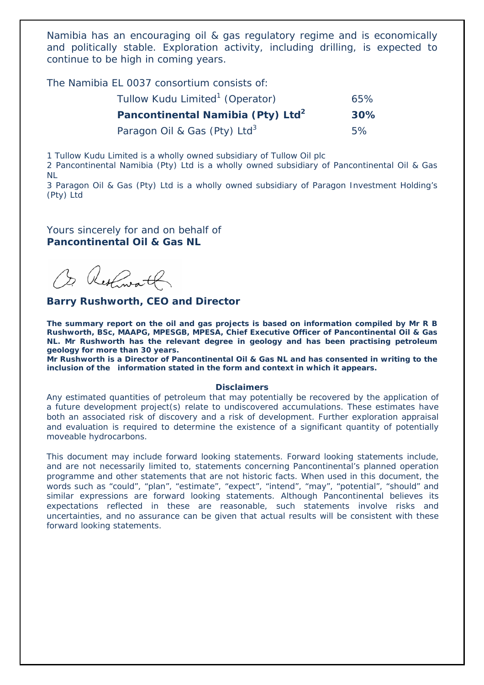Namibia has an encouraging oil & gas regulatory regime and is economically and politically stable. Exploration activity, including drilling, is expected to continue to be high in coming years.

The Namibia EL 0037 consortium consists of:

| Tullow Kudu Limited <sup>1</sup> (Operator)   | 65%    |
|-----------------------------------------------|--------|
| Pancontinental Namibia (Pty) Ltd <sup>2</sup> | $30\%$ |
| Paragon Oil & Gas (Pty) Ltd <sup>3</sup>      | 5%     |

1 Tullow Kudu Limited is a wholly owned subsidiary of Tullow Oil plc

2 Pancontinental Namibia (Pty) Ltd is a wholly owned subsidiary of Pancontinental Oil & Gas NL

3 Paragon Oil & Gas (Pty) Ltd is a wholly owned subsidiary of Paragon Investment Holding's (Pty) Ltd

Yours sincerely for and on behalf of **Pancontinental Oil & Gas NL** 

Or Restaurantly

#### **Barry Rushworth, CEO and Director**

*The summary report on the oil and gas projects is based on information compiled by Mr R B Rushworth, BSc, MAAPG, MPESGB, MPESA, Chief Executive Officer of Pancontinental Oil & Gas NL. Mr Rushworth has the relevant degree in geology and has been practising petroleum geology for more than 30 years.* 

*Mr Rushworth is a Director of Pancontinental Oil & Gas NL and has consented in writing to the inclusion of the information stated in the form and context in which it appears.* 

#### **Disclaimers**

Any estimated quantities of petroleum that may potentially be recovered by the application of a future development project(s) relate to undiscovered accumulations. These estimates have both an associated risk of discovery and a risk of development. Further exploration appraisal and evaluation is required to determine the existence of a significant quantity of potentially moveable hydrocarbons.

This document may include forward looking statements. Forward looking statements include, and are not necessarily limited to, statements concerning Pancontinental's planned operation programme and other statements that are not historic facts. When used in this document, the words such as "could", "plan", "estimate", "expect", "intend", "may", "potential", "should" and similar expressions are forward looking statements. Although Pancontinental believes its expectations reflected in these are reasonable, such statements involve risks and uncertainties, and no assurance can be given that actual results will be consistent with these forward looking statements.